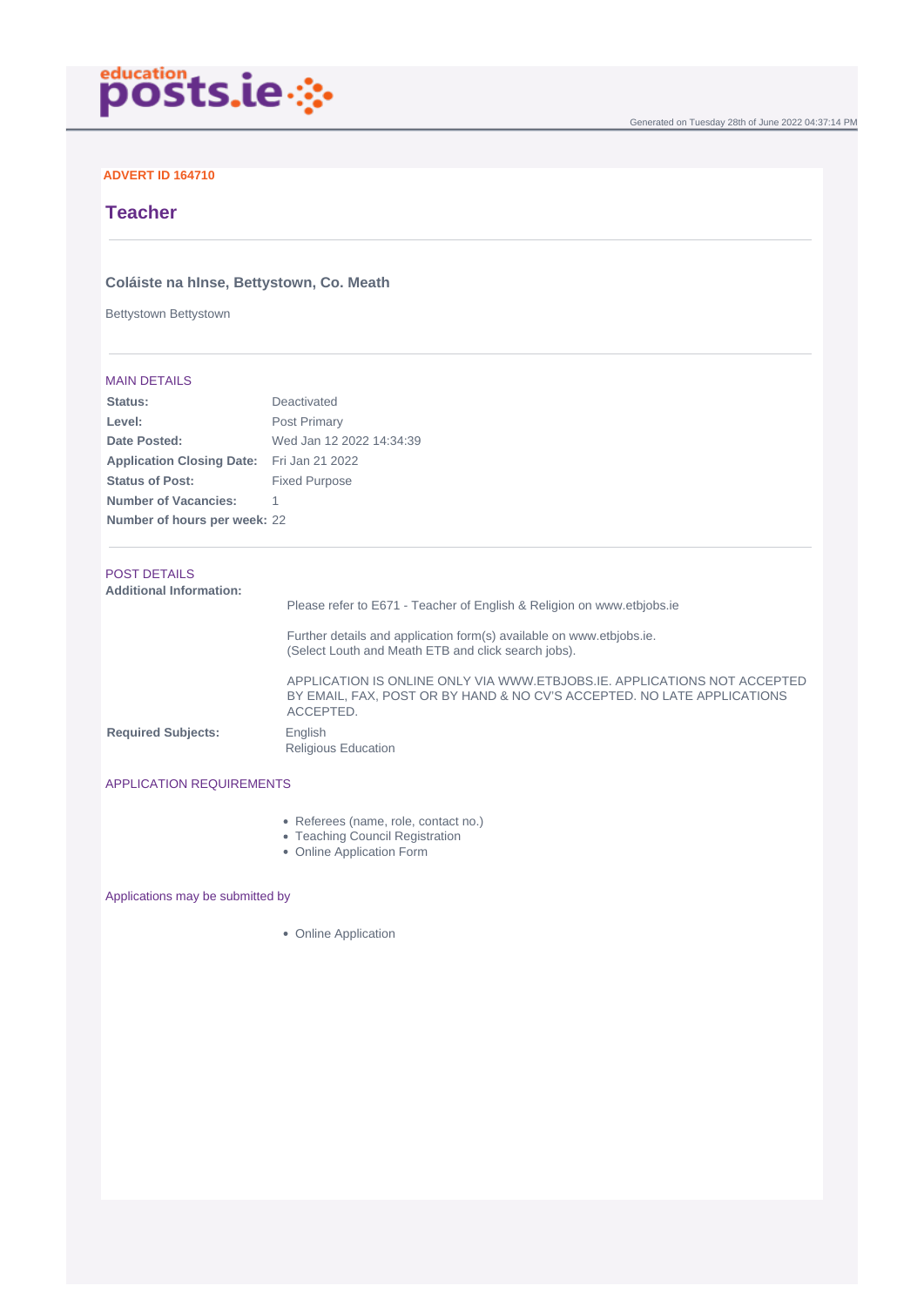

## **ADVERT ID 164710**

# **Teacher**

## **Coláiste na hInse, Bettystown, Co. Meath**

Bettystown Bettystown

### MAIN DETAILS

| Status:                                   | Deactivated              |
|-------------------------------------------|--------------------------|
| Level:                                    | Post Primary             |
| Date Posted:                              | Wed Jan 12 2022 14:34:39 |
| Application Closing Date: Fri Jan 21 2022 |                          |
| <b>Status of Post:</b>                    | <b>Fixed Purpose</b>     |
| <b>Number of Vacancies:</b>               |                          |
| Number of hours per week: 22              |                          |

# POST DETAILS

| <b>Additional Information:</b> | Please refer to E671 - Teacher of English & Religion on www.etbjobs.ie                                                                                           |
|--------------------------------|------------------------------------------------------------------------------------------------------------------------------------------------------------------|
|                                | Further details and application form(s) available on www.etbjobs.ie.<br>(Select Louth and Meath ETB and click search jobs).                                      |
|                                | APPLICATION IS ONLINE ONLY VIA WWW.ETBJOBS.IE, APPLICATIONS NOT ACCEPTED<br>BY EMAIL, FAX, POST OR BY HAND & NO CV'S ACCEPTED. NO LATE APPLICATIONS<br>ACCEPTED. |
| <b>Required Subjects:</b>      | English<br><b>Religious Education</b>                                                                                                                            |

#### APPLICATION REQUIREMENTS

- Referees (name, role, contact no.)
- Teaching Council Registration
- Online Application Form

Applications may be submitted by

• Online Application